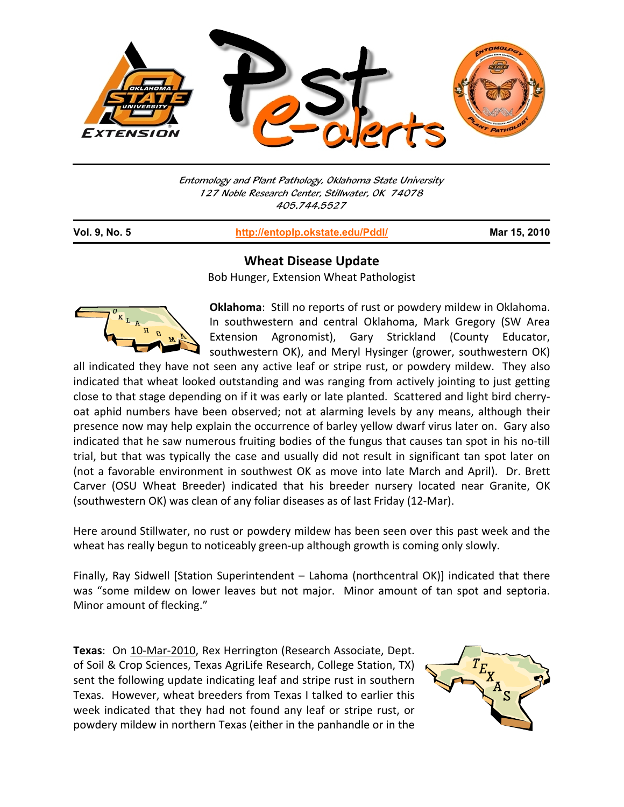

Entomology and Plant Pathology, Oklahoma State University 127 Noble Research Center, Stillwater, OK 74078 405.744.5527

| Vol. 9, No. 5 | http://entoplp.okstate.edu/Pddl/ | Mar 15, 2010 |
|---------------|----------------------------------|--------------|
|---------------|----------------------------------|--------------|

## **Wheat Disease Update**

Bob Hunger, Extension Wheat Pathologist



j

**Oklahoma**: Still no reports of rust or powdery mildew in Oklahoma. In southwestern and central Oklahoma, Mark Gregory (SW Area Extension Agronomist), Gary Strickland (County Educator, southwestern OK), and Meryl Hysinger (grower, southwestern OK)

all indicated they have not seen any active leaf or stripe rust, or powdery mildew. They also indicated that wheat looked outstanding and was ranging from actively jointing to just getting close to that stage depending on if it was early or late planted. Scattered and light bird cherry‐ oat aphid numbers have been observed; not at alarming levels by any means, although their presence now may help explain the occurrence of barley yellow dwarf virus later on. Gary also indicated that he saw numerous fruiting bodies of the fungus that causes tan spot in his no‐till trial, but that was typically the case and usually did not result in significant tan spot later on (not a favorable environment in southwest OK as move into late March and April). Dr. Brett Carver (OSU Wheat Breeder) indicated that his breeder nursery located near Granite, OK (southwestern OK) was clean of any foliar diseases as of last Friday (12‐Mar).

Here around Stillwater, no rust or powdery mildew has been seen over this past week and the wheat has really begun to noticeably green-up although growth is coming only slowly.

Finally, Ray Sidwell [Station Superintendent – Lahoma (northcentral OK)] indicated that there was "some mildew on lower leaves but not major. Minor amount of tan spot and septoria. Minor amount of flecking."

**Texas**: On 10‐Mar‐2010, Rex Herrington (Research Associate, Dept. of Soil & Crop Sciences, Texas AgriLife Research, College Station, TX) sent the following update indicating leaf and stripe rust in southern Texas. However, wheat breeders from Texas I talked to earlier this week indicated that they had not found any leaf or stripe rust, or powdery mildew in northern Texas (either in the panhandle or in the

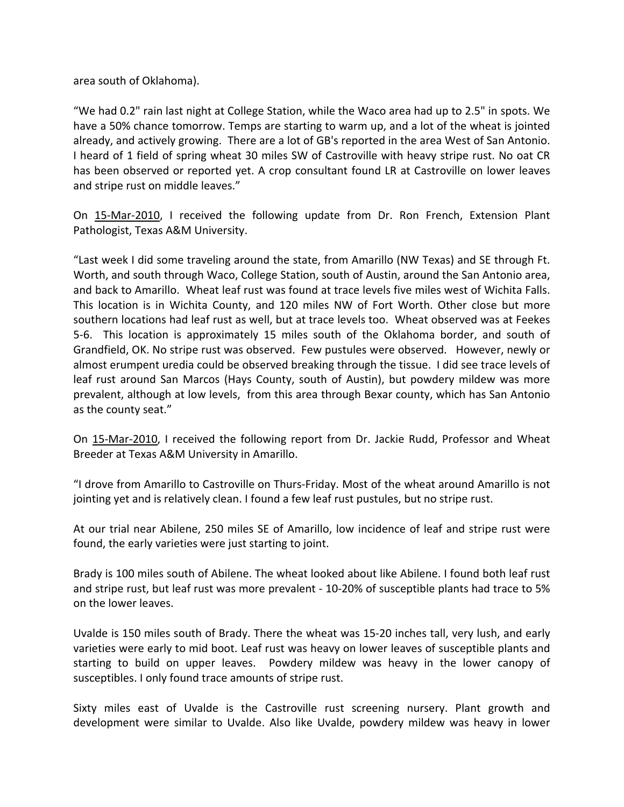area south of Oklahoma).

"We had 0.2" rain last night at College Station, while the Waco area had up to 2.5" in spots. We have a 50% chance tomorrow. Temps are starting to warm up, and a lot of the wheat is jointed already, and actively growing. There are a lot of GB's reported in the area West of San Antonio. I heard of 1 field of spring wheat 30 miles SW of Castroville with heavy stripe rust. No oat CR has been observed or reported yet. A crop consultant found LR at Castroville on lower leaves and stripe rust on middle leaves."

On 15‐Mar‐2010, I received the following update from Dr. Ron French, Extension Plant Pathologist, Texas A&M University.

"Last week I did some traveling around the state, from Amarillo (NW Texas) and SE through Ft. Worth, and south through Waco, College Station, south of Austin, around the San Antonio area, and back to Amarillo. Wheat leaf rust was found at trace levels five miles west of Wichita Falls. This location is in Wichita County, and 120 miles NW of Fort Worth. Other close but more southern locations had leaf rust as well, but at trace levels too. Wheat observed was at Feekes 5‐6. This location is approximately 15 miles south of the Oklahoma border, and south of Grandfield, OK. No stripe rust was observed. Few pustules were observed. However, newly or almost erumpent uredia could be observed breaking through the tissue. I did see trace levels of leaf rust around San Marcos (Hays County, south of Austin), but powdery mildew was more prevalent, although at low levels, from this area through Bexar county, which has San Antonio as the county seat."

On 15-Mar-2010, I received the following report from Dr. Jackie Rudd, Professor and Wheat Breeder at Texas A&M University in Amarillo.

"I drove from Amarillo to Castroville on Thurs‐Friday. Most of the wheat around Amarillo is not jointing yet and is relatively clean. I found a few leaf rust pustules, but no stripe rust.

At our trial near Abilene, 250 miles SE of Amarillo, low incidence of leaf and stripe rust were found, the early varieties were just starting to joint.

Brady is 100 miles south of Abilene. The wheat looked about like Abilene. I found both leaf rust and stripe rust, but leaf rust was more prevalent ‐ 10‐20% of susceptible plants had trace to 5% on the lower leaves.

Uvalde is 150 miles south of Brady. There the wheat was 15‐20 inches tall, very lush, and early varieties were early to mid boot. Leaf rust was heavy on lower leaves of susceptible plants and starting to build on upper leaves. Powdery mildew was heavy in the lower canopy of susceptibles. I only found trace amounts of stripe rust.

Sixty miles east of Uvalde is the Castroville rust screening nursery. Plant growth and development were similar to Uvalde. Also like Uvalde, powdery mildew was heavy in lower